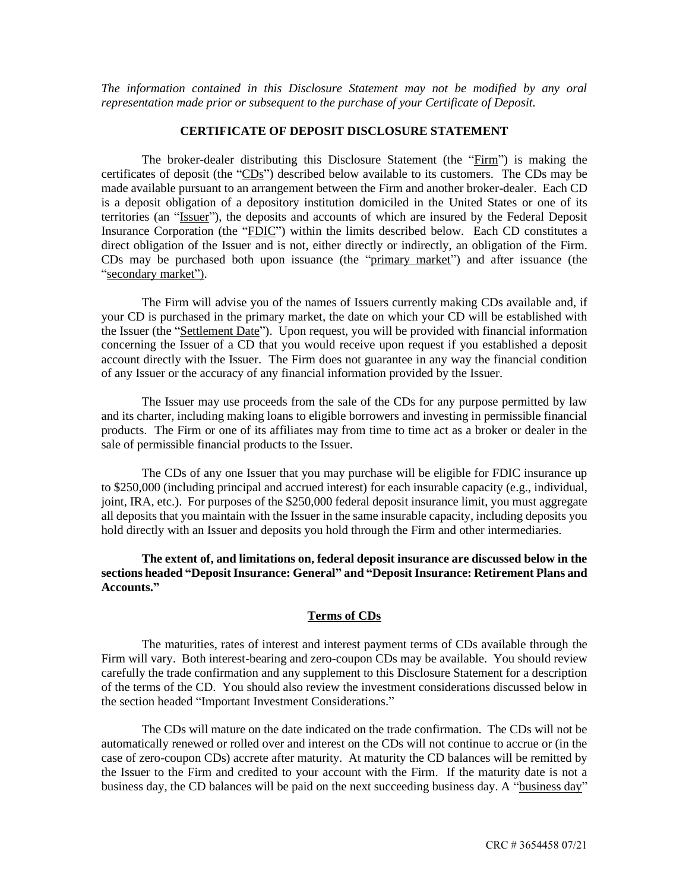*The information contained in this Disclosure Statement may not be modified by any oral representation made prior or subsequent to the purchase of your Certificate of Deposit.*

## **CERTIFICATE OF DEPOSIT DISCLOSURE STATEMENT**

The broker-dealer distributing this Disclosure Statement (the "Firm") is making the certificates of deposit (the "CDs") described below available to its customers. The CDs may be made available pursuant to an arrangement between the Firm and another broker-dealer. Each CD is a deposit obligation of a depository institution domiciled in the United States or one of its territories (an "Issuer"), the deposits and accounts of which are insured by the Federal Deposit Insurance Corporation (the "FDIC") within the limits described below. Each CD constitutes a direct obligation of the Issuer and is not, either directly or indirectly, an obligation of the Firm. CDs may be purchased both upon issuance (the "primary market") and after issuance (the "secondary market").

The Firm will advise you of the names of Issuers currently making CDs available and, if your CD is purchased in the primary market, the date on which your CD will be established with the Issuer (the "Settlement Date"). Upon request, you will be provided with financial information concerning the Issuer of a CD that you would receive upon request if you established a deposit account directly with the Issuer. The Firm does not guarantee in any way the financial condition of any Issuer or the accuracy of any financial information provided by the Issuer.

The Issuer may use proceeds from the sale of the CDs for any purpose permitted by law and its charter, including making loans to eligible borrowers and investing in permissible financial products. The Firm or one of its affiliates may from time to time act as a broker or dealer in the sale of permissible financial products to the Issuer.

The CDs of any one Issuer that you may purchase will be eligible for FDIC insurance up to \$250,000 (including principal and accrued interest) for each insurable capacity (e.g., individual, joint, IRA, etc.). For purposes of the \$250,000 federal deposit insurance limit, you must aggregate all deposits that you maintain with the Issuer in the same insurable capacity, including deposits you hold directly with an Issuer and deposits you hold through the Firm and other intermediaries.

**The extent of, and limitations on, federal deposit insurance are discussed below in the sections headed "Deposit Insurance: General" and "Deposit Insurance: Retirement Plans and Accounts."**

## **Terms of CDs**

The maturities, rates of interest and interest payment terms of CDs available through the Firm will vary. Both interest-bearing and zero-coupon CDs may be available. You should review carefully the trade confirmation and any supplement to this Disclosure Statement for a description of the terms of the CD. You should also review the investment considerations discussed below in the section headed "Important Investment Considerations."

The CDs will mature on the date indicated on the trade confirmation. The CDs will not be automatically renewed or rolled over and interest on the CDs will not continue to accrue or (in the case of zero-coupon CDs) accrete after maturity. At maturity the CD balances will be remitted by the Issuer to the Firm and credited to your account with the Firm. If the maturity date is not a business day, the CD balances will be paid on the next succeeding business day. A "business day"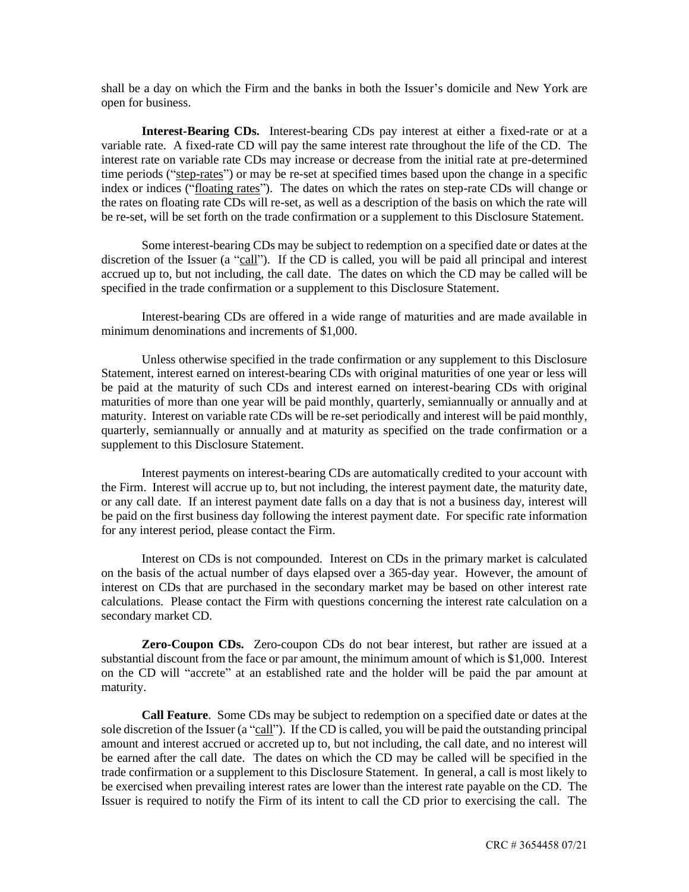shall be a day on which the Firm and the banks in both the Issuer's domicile and New York are open for business.

**Interest-Bearing CDs.** Interest-bearing CDs pay interest at either a fixed-rate or at a variable rate. A fixed-rate CD will pay the same interest rate throughout the life of the CD. The interest rate on variable rate CDs may increase or decrease from the initial rate at pre-determined time periods ("step-rates") or may be re-set at specified times based upon the change in a specific index or indices ("floating rates"). The dates on which the rates on step-rate CDs will change or the rates on floating rate CDs will re-set, as well as a description of the basis on which the rate will be re-set, will be set forth on the trade confirmation or a supplement to this Disclosure Statement.

Some interest-bearing CDs may be subject to redemption on a specified date or dates at the discretion of the Issuer (a "call"). If the CD is called, you will be paid all principal and interest accrued up to, but not including, the call date. The dates on which the CD may be called will be specified in the trade confirmation or a supplement to this Disclosure Statement.

Interest-bearing CDs are offered in a wide range of maturities and are made available in minimum denominations and increments of \$1,000.

Unless otherwise specified in the trade confirmation or any supplement to this Disclosure Statement, interest earned on interest-bearing CDs with original maturities of one year or less will be paid at the maturity of such CDs and interest earned on interest-bearing CDs with original maturities of more than one year will be paid monthly, quarterly, semiannually or annually and at maturity. Interest on variable rate CDs will be re-set periodically and interest will be paid monthly, quarterly, semiannually or annually and at maturity as specified on the trade confirmation or a supplement to this Disclosure Statement.

Interest payments on interest-bearing CDs are automatically credited to your account with the Firm. Interest will accrue up to, but not including, the interest payment date, the maturity date, or any call date. If an interest payment date falls on a day that is not a business day, interest will be paid on the first business day following the interest payment date. For specific rate information for any interest period, please contact the Firm.

Interest on CDs is not compounded. Interest on CDs in the primary market is calculated on the basis of the actual number of days elapsed over a 365-day year. However, the amount of interest on CDs that are purchased in the secondary market may be based on other interest rate calculations. Please contact the Firm with questions concerning the interest rate calculation on a secondary market CD.

**Zero-Coupon CDs.** Zero-coupon CDs do not bear interest, but rather are issued at a substantial discount from the face or par amount, the minimum amount of which is \$1,000. Interest on the CD will "accrete" at an established rate and the holder will be paid the par amount at maturity.

**Call Feature**. Some CDs may be subject to redemption on a specified date or dates at the sole discretion of the Issuer (a "call"). If the CD is called, you will be paid the outstanding principal amount and interest accrued or accreted up to, but not including, the call date, and no interest will be earned after the call date. The dates on which the CD may be called will be specified in the trade confirmation or a supplement to this Disclosure Statement. In general, a call is most likely to be exercised when prevailing interest rates are lower than the interest rate payable on the CD. The Issuer is required to notify the Firm of its intent to call the CD prior to exercising the call. The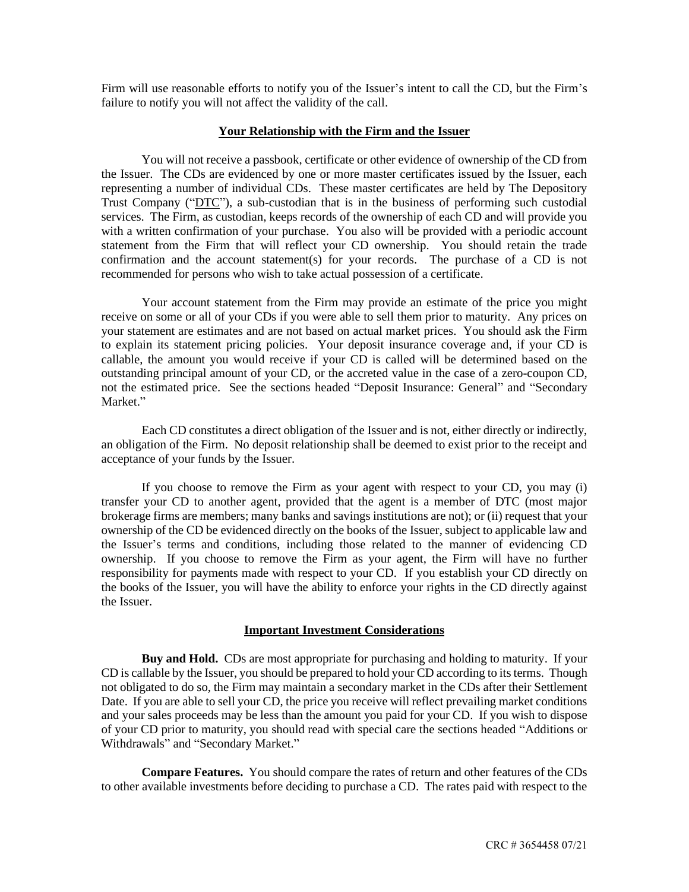Firm will use reasonable efforts to notify you of the Issuer's intent to call the CD, but the Firm's failure to notify you will not affect the validity of the call.

## **Your Relationship with the Firm and the Issuer**

You will not receive a passbook, certificate or other evidence of ownership of the CD from the Issuer. The CDs are evidenced by one or more master certificates issued by the Issuer, each representing a number of individual CDs. These master certificates are held by The Depository Trust Company ("DTC"), a sub-custodian that is in the business of performing such custodial services. The Firm, as custodian, keeps records of the ownership of each CD and will provide you with a written confirmation of your purchase. You also will be provided with a periodic account statement from the Firm that will reflect your CD ownership. You should retain the trade confirmation and the account statement(s) for your records. The purchase of a CD is not recommended for persons who wish to take actual possession of a certificate.

Your account statement from the Firm may provide an estimate of the price you might receive on some or all of your CDs if you were able to sell them prior to maturity. Any prices on your statement are estimates and are not based on actual market prices. You should ask the Firm to explain its statement pricing policies. Your deposit insurance coverage and, if your CD is callable, the amount you would receive if your CD is called will be determined based on the outstanding principal amount of your CD, or the accreted value in the case of a zero-coupon CD, not the estimated price. See the sections headed "Deposit Insurance: General" and "Secondary Market."

Each CD constitutes a direct obligation of the Issuer and is not, either directly or indirectly, an obligation of the Firm. No deposit relationship shall be deemed to exist prior to the receipt and acceptance of your funds by the Issuer.

If you choose to remove the Firm as your agent with respect to your CD, you may (i) transfer your CD to another agent, provided that the agent is a member of DTC (most major brokerage firms are members; many banks and savings institutions are not); or (ii) request that your ownership of the CD be evidenced directly on the books of the Issuer, subject to applicable law and the Issuer's terms and conditions, including those related to the manner of evidencing CD ownership. If you choose to remove the Firm as your agent, the Firm will have no further responsibility for payments made with respect to your CD. If you establish your CD directly on the books of the Issuer, you will have the ability to enforce your rights in the CD directly against the Issuer.

## **Important Investment Considerations**

**Buy and Hold.** CDs are most appropriate for purchasing and holding to maturity. If your CD is callable by the Issuer, you should be prepared to hold your CD according to its terms. Though not obligated to do so, the Firm may maintain a secondary market in the CDs after their Settlement Date. If you are able to sell your CD, the price you receive will reflect prevailing market conditions and your sales proceeds may be less than the amount you paid for your CD. If you wish to dispose of your CD prior to maturity, you should read with special care the sections headed "Additions or Withdrawals" and "Secondary Market."

**Compare Features.** You should compare the rates of return and other features of the CDs to other available investments before deciding to purchase a CD. The rates paid with respect to the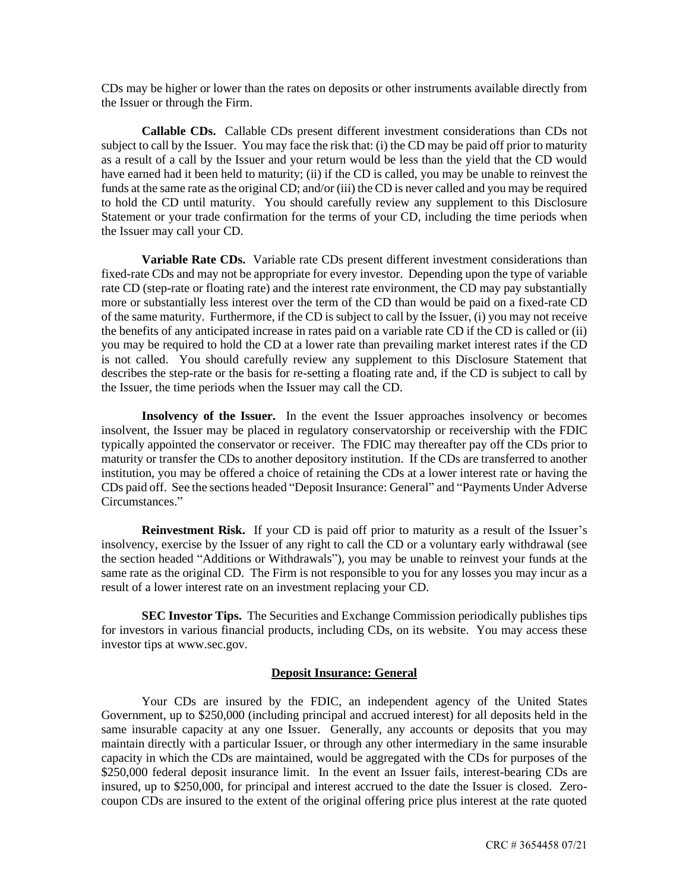CDs may be higher or lower than the rates on deposits or other instruments available directly from the Issuer or through the Firm.

**Callable CDs.** Callable CDs present different investment considerations than CDs not subject to call by the Issuer. You may face the risk that: (i) the CD may be paid off prior to maturity as a result of a call by the Issuer and your return would be less than the yield that the CD would have earned had it been held to maturity; (ii) if the CD is called, you may be unable to reinvest the funds at the same rate as the original CD; and/or (iii) the CD is never called and you may be required to hold the CD until maturity. You should carefully review any supplement to this Disclosure Statement or your trade confirmation for the terms of your CD, including the time periods when the Issuer may call your CD.

**Variable Rate CDs.** Variable rate CDs present different investment considerations than fixed-rate CDs and may not be appropriate for every investor. Depending upon the type of variable rate CD (step-rate or floating rate) and the interest rate environment, the CD may pay substantially more or substantially less interest over the term of the CD than would be paid on a fixed-rate CD of the same maturity. Furthermore, if the CD is subject to call by the Issuer, (i) you may not receive the benefits of any anticipated increase in rates paid on a variable rate CD if the CD is called or (ii) you may be required to hold the CD at a lower rate than prevailing market interest rates if the CD is not called. You should carefully review any supplement to this Disclosure Statement that describes the step-rate or the basis for re-setting a floating rate and, if the CD is subject to call by the Issuer, the time periods when the Issuer may call the CD.

**Insolvency of the Issuer.** In the event the Issuer approaches insolvency or becomes insolvent, the Issuer may be placed in regulatory conservatorship or receivership with the FDIC typically appointed the conservator or receiver. The FDIC may thereafter pay off the CDs prior to maturity or transfer the CDs to another depository institution. If the CDs are transferred to another institution, you may be offered a choice of retaining the CDs at a lower interest rate or having the CDs paid off. See the sections headed "Deposit Insurance: General" and "Payments Under Adverse Circumstances."

**Reinvestment Risk.** If your CD is paid off prior to maturity as a result of the Issuer's insolvency, exercise by the Issuer of any right to call the CD or a voluntary early withdrawal (see the section headed "Additions or Withdrawals"), you may be unable to reinvest your funds at the same rate as the original CD. The Firm is not responsible to you for any losses you may incur as a result of a lower interest rate on an investment replacing your CD.

**SEC Investor Tips.** The Securities and Exchange Commission periodically publishes tips for investors in various financial products, including CDs, on its website. You may access these investor tips at www.sec.gov.

## **Deposit Insurance: General**

Your CDs are insured by the FDIC, an independent agency of the United States Government, up to \$250,000 (including principal and accrued interest) for all deposits held in the same insurable capacity at any one Issuer. Generally, any accounts or deposits that you may maintain directly with a particular Issuer, or through any other intermediary in the same insurable capacity in which the CDs are maintained, would be aggregated with the CDs for purposes of the \$250,000 federal deposit insurance limit. In the event an Issuer fails, interest-bearing CDs are insured, up to \$250,000, for principal and interest accrued to the date the Issuer is closed. Zerocoupon CDs are insured to the extent of the original offering price plus interest at the rate quoted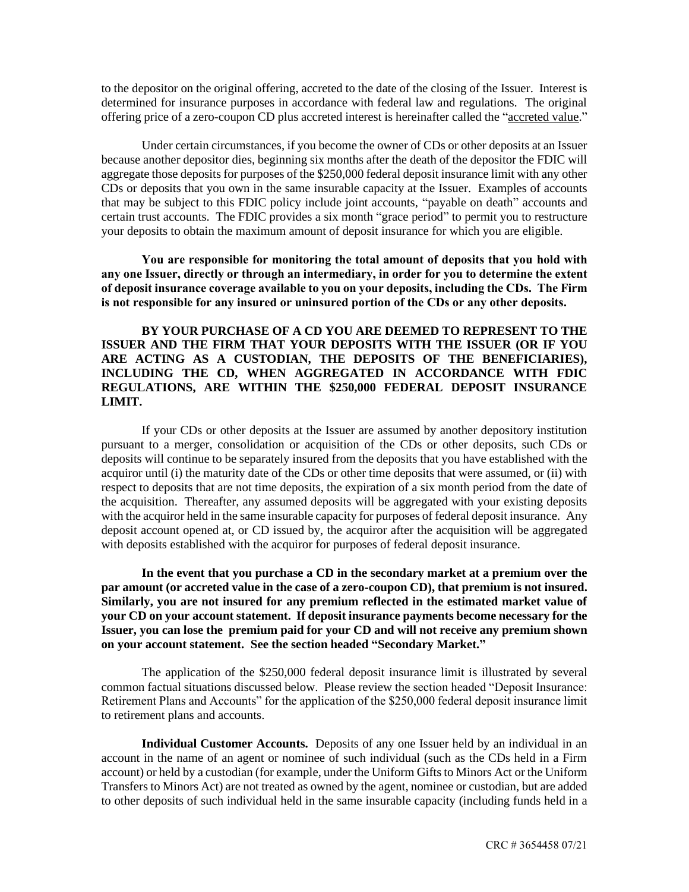to the depositor on the original offering, accreted to the date of the closing of the Issuer. Interest is determined for insurance purposes in accordance with federal law and regulations. The original offering price of a zero-coupon CD plus accreted interest is hereinafter called the "accreted value."

Under certain circumstances, if you become the owner of CDs or other deposits at an Issuer because another depositor dies, beginning six months after the death of the depositor the FDIC will aggregate those deposits for purposes of the \$250,000 federal deposit insurance limit with any other CDs or deposits that you own in the same insurable capacity at the Issuer. Examples of accounts that may be subject to this FDIC policy include joint accounts, "payable on death" accounts and certain trust accounts. The FDIC provides a six month "grace period" to permit you to restructure your deposits to obtain the maximum amount of deposit insurance for which you are eligible.

**You are responsible for monitoring the total amount of deposits that you hold with any one Issuer, directly or through an intermediary, in order for you to determine the extent of deposit insurance coverage available to you on your deposits, including the CDs. The Firm is not responsible for any insured or uninsured portion of the CDs or any other deposits.**

**BY YOUR PURCHASE OF A CD YOU ARE DEEMED TO REPRESENT TO THE ISSUER AND THE FIRM THAT YOUR DEPOSITS WITH THE ISSUER (OR IF YOU ARE ACTING AS A CUSTODIAN, THE DEPOSITS OF THE BENEFICIARIES), INCLUDING THE CD, WHEN AGGREGATED IN ACCORDANCE WITH FDIC REGULATIONS, ARE WITHIN THE \$250,000 FEDERAL DEPOSIT INSURANCE LIMIT.**

If your CDs or other deposits at the Issuer are assumed by another depository institution pursuant to a merger, consolidation or acquisition of the CDs or other deposits, such CDs or deposits will continue to be separately insured from the deposits that you have established with the acquiror until (i) the maturity date of the CDs or other time deposits that were assumed, or (ii) with respect to deposits that are not time deposits, the expiration of a six month period from the date of the acquisition. Thereafter, any assumed deposits will be aggregated with your existing deposits with the acquiror held in the same insurable capacity for purposes of federal deposit insurance. Any deposit account opened at, or CD issued by, the acquiror after the acquisition will be aggregated with deposits established with the acquiror for purposes of federal deposit insurance.

**In the event that you purchase a CD in the secondary market at a premium over the par amount (or accreted value in the case of a zero-coupon CD), that premium is not insured. Similarly, you are not insured for any premium reflected in the estimated market value of your CD on your account statement. If deposit insurance payments become necessary for the Issuer, you can lose the premium paid for your CD and will not receive any premium shown on your account statement. See the section headed "Secondary Market."**

The application of the \$250,000 federal deposit insurance limit is illustrated by several common factual situations discussed below. Please review the section headed "Deposit Insurance: Retirement Plans and Accounts" for the application of the \$250,000 federal deposit insurance limit to retirement plans and accounts.

**Individual Customer Accounts.** Deposits of any one Issuer held by an individual in an account in the name of an agent or nominee of such individual (such as the CDs held in a Firm account) or held by a custodian (for example, under the Uniform Gifts to Minors Act or the Uniform Transfers to Minors Act) are not treated as owned by the agent, nominee or custodian, but are added to other deposits of such individual held in the same insurable capacity (including funds held in a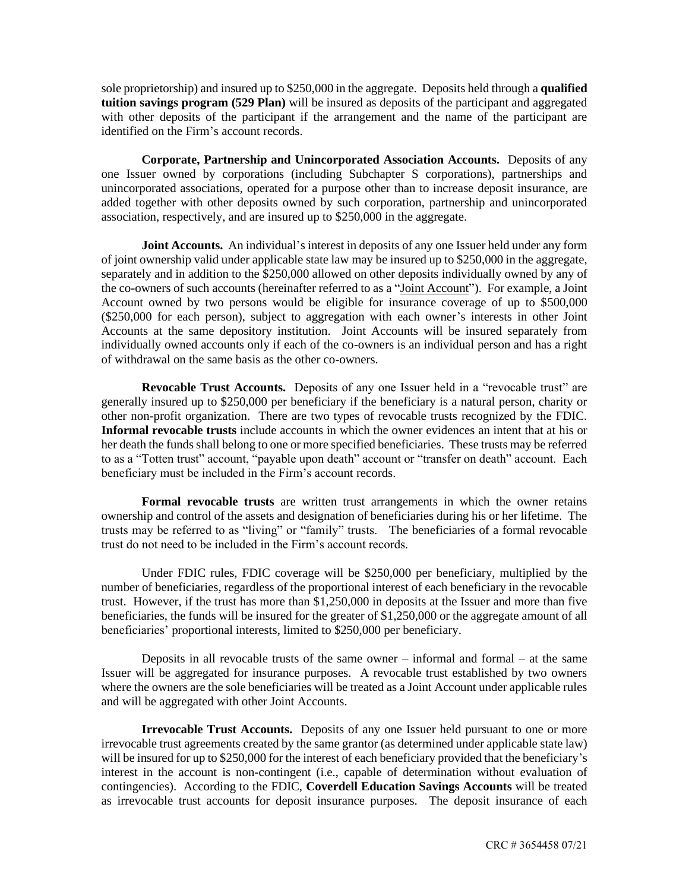sole proprietorship) and insured up to \$250,000 in the aggregate. Deposits held through a **qualified tuition savings program (529 Plan)** will be insured as deposits of the participant and aggregated with other deposits of the participant if the arrangement and the name of the participant are identified on the Firm's account records.

**Corporate, Partnership and Unincorporated Association Accounts.** Deposits of any one Issuer owned by corporations (including Subchapter S corporations), partnerships and unincorporated associations, operated for a purpose other than to increase deposit insurance, are added together with other deposits owned by such corporation, partnership and unincorporated association, respectively, and are insured up to \$250,000 in the aggregate.

**Joint Accounts.** An individual's interest in deposits of any one Issuer held under any form of joint ownership valid under applicable state law may be insured up to \$250,000 in the aggregate, separately and in addition to the \$250,000 allowed on other deposits individually owned by any of the co-owners of such accounts (hereinafter referred to as a "Joint Account"). For example, a Joint Account owned by two persons would be eligible for insurance coverage of up to \$500,000 (\$250,000 for each person), subject to aggregation with each owner's interests in other Joint Accounts at the same depository institution. Joint Accounts will be insured separately from individually owned accounts only if each of the co-owners is an individual person and has a right of withdrawal on the same basis as the other co-owners.

**Revocable Trust Accounts.** Deposits of any one Issuer held in a "revocable trust" are generally insured up to \$250,000 per beneficiary if the beneficiary is a natural person, charity or other non-profit organization. There are two types of revocable trusts recognized by the FDIC. **Informal revocable trusts** include accounts in which the owner evidences an intent that at his or her death the funds shall belong to one or more specified beneficiaries. These trusts may be referred to as a "Totten trust" account, "payable upon death" account or "transfer on death" account. Each beneficiary must be included in the Firm's account records.

**Formal revocable trusts** are written trust arrangements in which the owner retains ownership and control of the assets and designation of beneficiaries during his or her lifetime. The trusts may be referred to as "living" or "family" trusts. The beneficiaries of a formal revocable trust do not need to be included in the Firm's account records.

Under FDIC rules, FDIC coverage will be \$250,000 per beneficiary, multiplied by the number of beneficiaries, regardless of the proportional interest of each beneficiary in the revocable trust. However, if the trust has more than \$1,250,000 in deposits at the Issuer and more than five beneficiaries, the funds will be insured for the greater of \$1,250,000 or the aggregate amount of all beneficiaries' proportional interests, limited to \$250,000 per beneficiary.

Deposits in all revocable trusts of the same owner – informal and formal – at the same Issuer will be aggregated for insurance purposes. A revocable trust established by two owners where the owners are the sole beneficiaries will be treated as a Joint Account under applicable rules and will be aggregated with other Joint Accounts.

**Irrevocable Trust Accounts.** Deposits of any one Issuer held pursuant to one or more irrevocable trust agreements created by the same grantor (as determined under applicable state law) will be insured for up to \$250,000 for the interest of each beneficiary provided that the beneficiary's interest in the account is non-contingent (i.e., capable of determination without evaluation of contingencies). According to the FDIC, **Coverdell Education Savings Accounts** will be treated as irrevocable trust accounts for deposit insurance purposes. The deposit insurance of each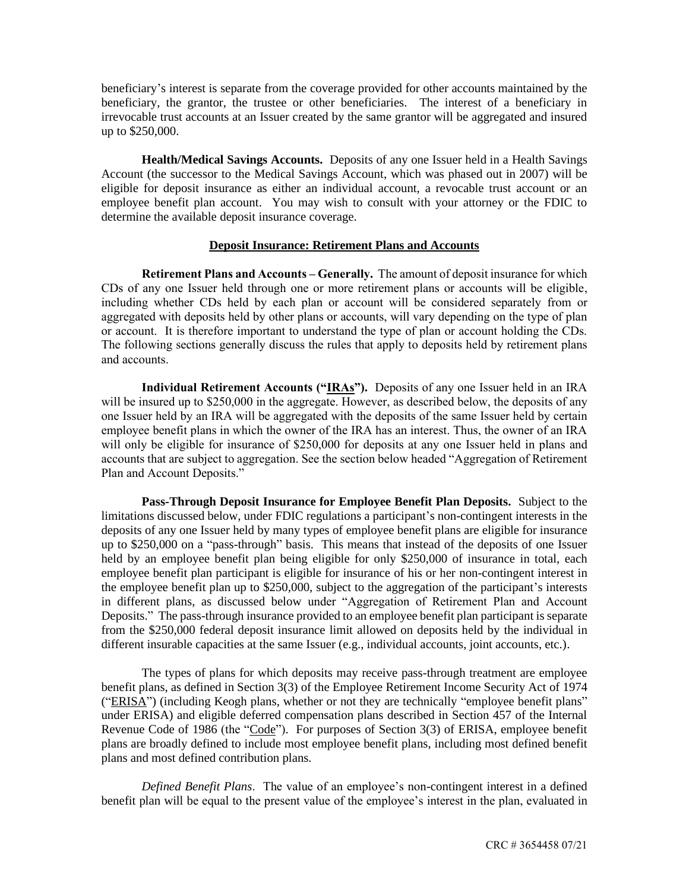beneficiary's interest is separate from the coverage provided for other accounts maintained by the beneficiary, the grantor, the trustee or other beneficiaries. The interest of a beneficiary in irrevocable trust accounts at an Issuer created by the same grantor will be aggregated and insured up to \$250,000.

**Health/Medical Savings Accounts.** Deposits of any one Issuer held in a Health Savings Account (the successor to the Medical Savings Account, which was phased out in 2007) will be eligible for deposit insurance as either an individual account, a revocable trust account or an employee benefit plan account. You may wish to consult with your attorney or the FDIC to determine the available deposit insurance coverage.

## **Deposit Insurance: Retirement Plans and Accounts**

**Retirement Plans and Accounts – Generally.** The amount of deposit insurance for which CDs of any one Issuer held through one or more retirement plans or accounts will be eligible, including whether CDs held by each plan or account will be considered separately from or aggregated with deposits held by other plans or accounts, will vary depending on the type of plan or account. It is therefore important to understand the type of plan or account holding the CDs. The following sections generally discuss the rules that apply to deposits held by retirement plans and accounts.

**Individual Retirement Accounts ("IRAs").** Deposits of any one Issuer held in an IRA will be insured up to \$250,000 in the aggregate. However, as described below, the deposits of any one Issuer held by an IRA will be aggregated with the deposits of the same Issuer held by certain employee benefit plans in which the owner of the IRA has an interest. Thus, the owner of an IRA will only be eligible for insurance of \$250,000 for deposits at any one Issuer held in plans and accounts that are subject to aggregation. See the section below headed "Aggregation of Retirement Plan and Account Deposits."

**Pass-Through Deposit Insurance for Employee Benefit Plan Deposits.** Subject to the limitations discussed below, under FDIC regulations a participant's non-contingent interests in the deposits of any one Issuer held by many types of employee benefit plans are eligible for insurance up to \$250,000 on a "pass-through" basis. This means that instead of the deposits of one Issuer held by an employee benefit plan being eligible for only \$250,000 of insurance in total, each employee benefit plan participant is eligible for insurance of his or her non-contingent interest in the employee benefit plan up to \$250,000, subject to the aggregation of the participant's interests in different plans, as discussed below under "Aggregation of Retirement Plan and Account Deposits." The pass-through insurance provided to an employee benefit plan participant is separate from the \$250,000 federal deposit insurance limit allowed on deposits held by the individual in different insurable capacities at the same Issuer (e.g., individual accounts, joint accounts, etc.).

The types of plans for which deposits may receive pass-through treatment are employee benefit plans, as defined in Section 3(3) of the Employee Retirement Income Security Act of 1974 ("ERISA") (including Keogh plans, whether or not they are technically "employee benefit plans" under ERISA) and eligible deferred compensation plans described in Section 457 of the Internal Revenue Code of 1986 (the "Code"). For purposes of Section 3(3) of ERISA, employee benefit plans are broadly defined to include most employee benefit plans, including most defined benefit plans and most defined contribution plans.

*Defined Benefit Plans*. The value of an employee's non-contingent interest in a defined benefit plan will be equal to the present value of the employee's interest in the plan, evaluated in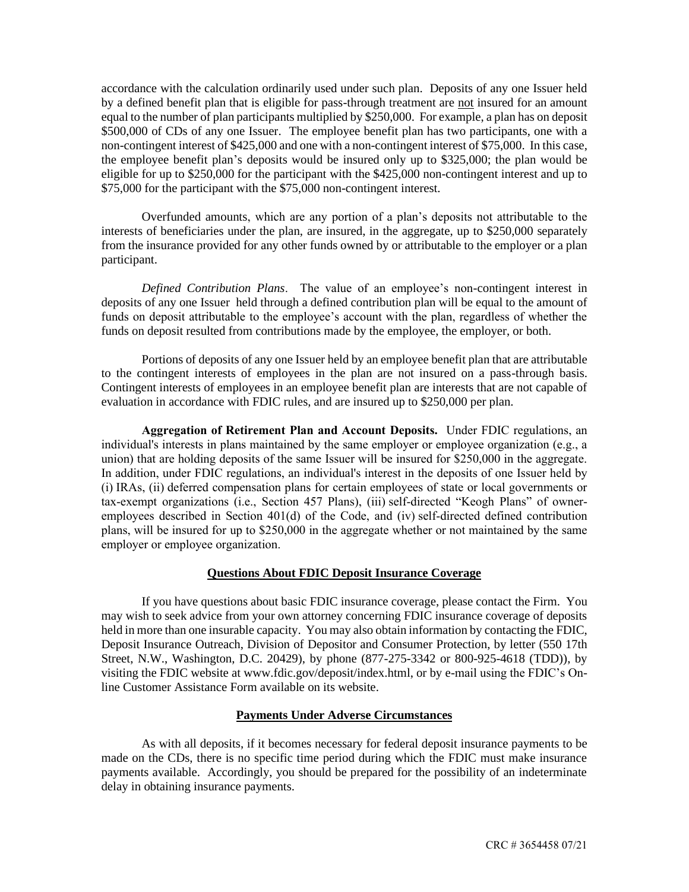accordance with the calculation ordinarily used under such plan. Deposits of any one Issuer held by a defined benefit plan that is eligible for pass-through treatment are not insured for an amount equal to the number of plan participants multiplied by \$250,000. For example, a plan has on deposit \$500,000 of CDs of any one Issuer. The employee benefit plan has two participants, one with a non-contingent interest of \$425,000 and one with a non-contingent interest of \$75,000. In this case, the employee benefit plan's deposits would be insured only up to \$325,000; the plan would be eligible for up to \$250,000 for the participant with the \$425,000 non-contingent interest and up to \$75,000 for the participant with the \$75,000 non-contingent interest.

Overfunded amounts, which are any portion of a plan's deposits not attributable to the interests of beneficiaries under the plan, are insured, in the aggregate, up to \$250,000 separately from the insurance provided for any other funds owned by or attributable to the employer or a plan participant.

*Defined Contribution Plans*. The value of an employee's non-contingent interest in deposits of any one Issuer held through a defined contribution plan will be equal to the amount of funds on deposit attributable to the employee's account with the plan, regardless of whether the funds on deposit resulted from contributions made by the employee, the employer, or both.

Portions of deposits of any one Issuer held by an employee benefit plan that are attributable to the contingent interests of employees in the plan are not insured on a pass-through basis. Contingent interests of employees in an employee benefit plan are interests that are not capable of evaluation in accordance with FDIC rules, and are insured up to \$250,000 per plan.

**Aggregation of Retirement Plan and Account Deposits.** Under FDIC regulations, an individual's interests in plans maintained by the same employer or employee organization (e.g., a union) that are holding deposits of the same Issuer will be insured for \$250,000 in the aggregate. In addition, under FDIC regulations, an individual's interest in the deposits of one Issuer held by (i) IRAs, (ii) deferred compensation plans for certain employees of state or local governments or tax-exempt organizations (i.e., Section 457 Plans), (iii) self-directed "Keogh Plans" of owneremployees described in Section 401(d) of the Code, and (iv) self-directed defined contribution plans, will be insured for up to \$250,000 in the aggregate whether or not maintained by the same employer or employee organization.

# **Questions About FDIC Deposit Insurance Coverage**

If you have questions about basic FDIC insurance coverage, please contact the Firm. You may wish to seek advice from your own attorney concerning FDIC insurance coverage of deposits held in more than one insurable capacity. You may also obtain information by contacting the FDIC, Deposit Insurance Outreach, Division of Depositor and Consumer Protection, by letter (550 17th Street, N.W., Washington, D.C. 20429), by phone (877-275-3342 or 800-925-4618 (TDD)), by visiting the FDIC website at www.fdic.gov/deposit/index.html, or by e-mail using the FDIC's Online Customer Assistance Form available on its website.

## **Payments Under Adverse Circumstances**

As with all deposits, if it becomes necessary for federal deposit insurance payments to be made on the CDs, there is no specific time period during which the FDIC must make insurance payments available. Accordingly, you should be prepared for the possibility of an indeterminate delay in obtaining insurance payments.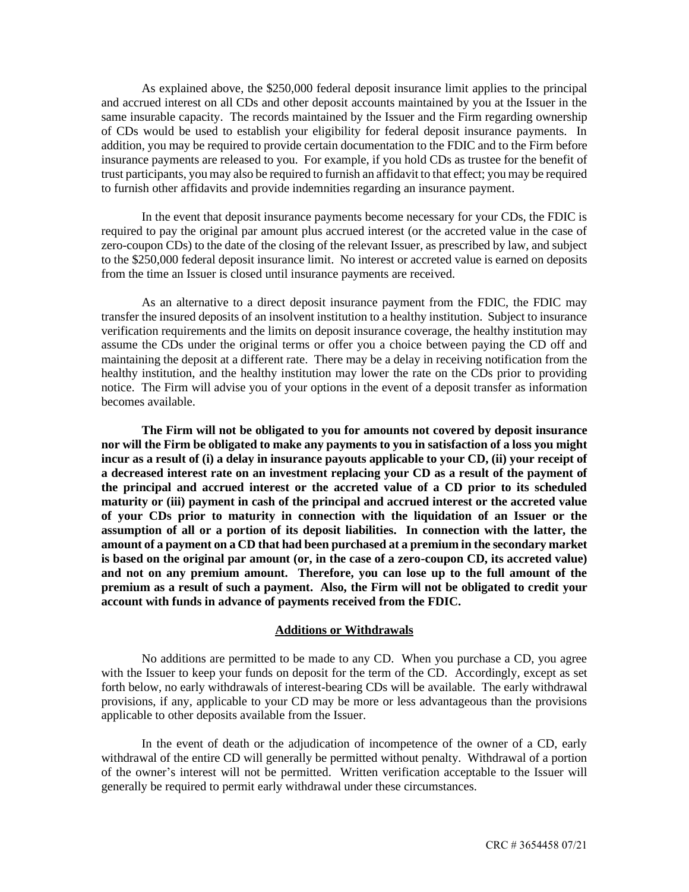As explained above, the \$250,000 federal deposit insurance limit applies to the principal and accrued interest on all CDs and other deposit accounts maintained by you at the Issuer in the same insurable capacity. The records maintained by the Issuer and the Firm regarding ownership of CDs would be used to establish your eligibility for federal deposit insurance payments. In addition, you may be required to provide certain documentation to the FDIC and to the Firm before insurance payments are released to you. For example, if you hold CDs as trustee for the benefit of trust participants, you may also be required to furnish an affidavit to that effect; you may be required to furnish other affidavits and provide indemnities regarding an insurance payment.

In the event that deposit insurance payments become necessary for your CDs, the FDIC is required to pay the original par amount plus accrued interest (or the accreted value in the case of zero-coupon CDs) to the date of the closing of the relevant Issuer, as prescribed by law, and subject to the \$250,000 federal deposit insurance limit. No interest or accreted value is earned on deposits from the time an Issuer is closed until insurance payments are received.

As an alternative to a direct deposit insurance payment from the FDIC, the FDIC may transfer the insured deposits of an insolvent institution to a healthy institution. Subject to insurance verification requirements and the limits on deposit insurance coverage, the healthy institution may assume the CDs under the original terms or offer you a choice between paying the CD off and maintaining the deposit at a different rate. There may be a delay in receiving notification from the healthy institution, and the healthy institution may lower the rate on the CDs prior to providing notice. The Firm will advise you of your options in the event of a deposit transfer as information becomes available.

**The Firm will not be obligated to you for amounts not covered by deposit insurance nor will the Firm be obligated to make any payments to you in satisfaction of a loss you might incur as a result of (i) a delay in insurance payouts applicable to your CD, (ii) your receipt of a decreased interest rate on an investment replacing your CD as a result of the payment of the principal and accrued interest or the accreted value of a CD prior to its scheduled maturity or (iii) payment in cash of the principal and accrued interest or the accreted value of your CDs prior to maturity in connection with the liquidation of an Issuer or the assumption of all or a portion of its deposit liabilities. In connection with the latter, the amount of a payment on a CD that had been purchased at a premium in the secondary market is based on the original par amount (or, in the case of a zero-coupon CD, its accreted value) and not on any premium amount. Therefore, you can lose up to the full amount of the premium as a result of such a payment. Also, the Firm will not be obligated to credit your account with funds in advance of payments received from the FDIC.**

## **Additions or Withdrawals**

No additions are permitted to be made to any CD. When you purchase a CD, you agree with the Issuer to keep your funds on deposit for the term of the CD. Accordingly, except as set forth below, no early withdrawals of interest-bearing CDs will be available. The early withdrawal provisions, if any, applicable to your CD may be more or less advantageous than the provisions applicable to other deposits available from the Issuer.

In the event of death or the adjudication of incompetence of the owner of a CD, early withdrawal of the entire CD will generally be permitted without penalty. Withdrawal of a portion of the owner's interest will not be permitted. Written verification acceptable to the Issuer will generally be required to permit early withdrawal under these circumstances.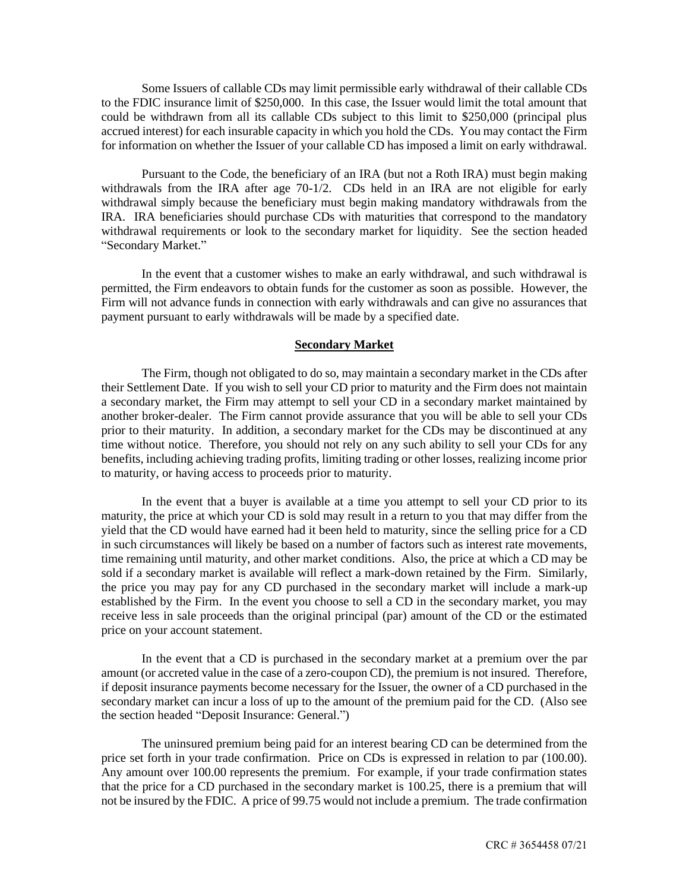Some Issuers of callable CDs may limit permissible early withdrawal of their callable CDs to the FDIC insurance limit of \$250,000. In this case, the Issuer would limit the total amount that could be withdrawn from all its callable CDs subject to this limit to \$250,000 (principal plus accrued interest) for each insurable capacity in which you hold the CDs. You may contact the Firm for information on whether the Issuer of your callable CD has imposed a limit on early withdrawal.

Pursuant to the Code, the beneficiary of an IRA (but not a Roth IRA) must begin making withdrawals from the IRA after age 70-1/2. CDs held in an IRA are not eligible for early withdrawal simply because the beneficiary must begin making mandatory withdrawals from the IRA. IRA beneficiaries should purchase CDs with maturities that correspond to the mandatory withdrawal requirements or look to the secondary market for liquidity. See the section headed "Secondary Market."

In the event that a customer wishes to make an early withdrawal, and such withdrawal is permitted, the Firm endeavors to obtain funds for the customer as soon as possible. However, the Firm will not advance funds in connection with early withdrawals and can give no assurances that payment pursuant to early withdrawals will be made by a specified date.

#### **Secondary Market**

The Firm, though not obligated to do so, may maintain a secondary market in the CDs after their Settlement Date. If you wish to sell your CD prior to maturity and the Firm does not maintain a secondary market, the Firm may attempt to sell your CD in a secondary market maintained by another broker-dealer. The Firm cannot provide assurance that you will be able to sell your CDs prior to their maturity. In addition, a secondary market for the CDs may be discontinued at any time without notice. Therefore, you should not rely on any such ability to sell your CDs for any benefits, including achieving trading profits, limiting trading or other losses, realizing income prior to maturity, or having access to proceeds prior to maturity.

In the event that a buyer is available at a time you attempt to sell your CD prior to its maturity, the price at which your CD is sold may result in a return to you that may differ from the yield that the CD would have earned had it been held to maturity, since the selling price for a CD in such circumstances will likely be based on a number of factors such as interest rate movements, time remaining until maturity, and other market conditions. Also, the price at which a CD may be sold if a secondary market is available will reflect a mark-down retained by the Firm. Similarly, the price you may pay for any CD purchased in the secondary market will include a mark-up established by the Firm. In the event you choose to sell a CD in the secondary market, you may receive less in sale proceeds than the original principal (par) amount of the CD or the estimated price on your account statement.

In the event that a CD is purchased in the secondary market at a premium over the par amount (or accreted value in the case of a zero-coupon CD), the premium is not insured. Therefore, if deposit insurance payments become necessary for the Issuer, the owner of a CD purchased in the secondary market can incur a loss of up to the amount of the premium paid for the CD. (Also see the section headed "Deposit Insurance: General.")

The uninsured premium being paid for an interest bearing CD can be determined from the price set forth in your trade confirmation. Price on CDs is expressed in relation to par (100.00). Any amount over 100.00 represents the premium. For example, if your trade confirmation states that the price for a CD purchased in the secondary market is 100.25, there is a premium that will not be insured by the FDIC. A price of 99.75 would not include a premium. The trade confirmation